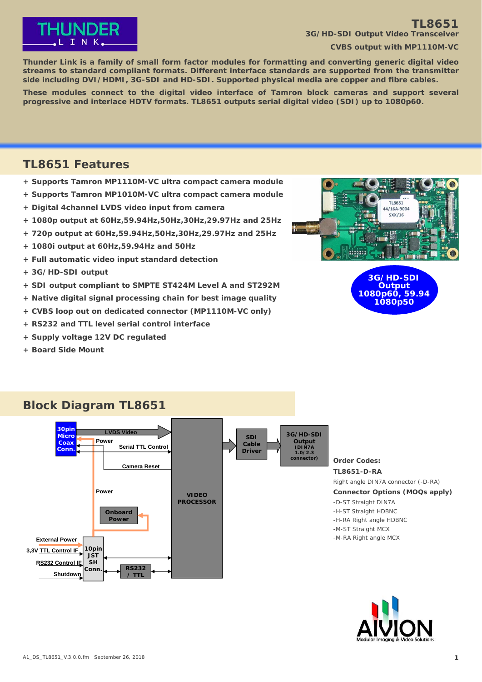

### **TL8651 3G/HD-SDI Output Video Transceiver**

**CVBS output with MP1110M-VC**

**Thunder Link is a family of small form factor modules for formatting and converting generic digital video streams to standard compliant formats. Different interface standards are supported from the transmitter side including DVI/HDMI, 3G-SDI and HD-SDI. Supported physical media are copper and fibre cables.**

**These modules connect to the digital video interface of Tamron block cameras and support several progressive and interlace HDTV formats. TL8651 outputs serial digital video (SDI) up to 1080p60.**

### **TL8651 Features**

- **+ Supports Tamron MP1110M-VC ultra compact camera module**
- **+ Supports Tamron MP1010M-VC ultra compact camera module**
- **+ Digital 4channel LVDS video input from camera**
- **+ 1080p output at 60Hz,59.94Hz,50Hz,30Hz,29.97Hz and 25Hz**
- **+ 720p output at 60Hz,59.94Hz,50Hz,30Hz,29.97Hz and 25Hz**
- **+ 1080i output at 60Hz,59.94Hz and 50Hz**
- **+ Full automatic video input standard detection**
- **+ 3G/HD-SDI output**
- **+ SDI output compliant to SMPTE ST424M Level A and ST292M**
- **+ Native digital signal processing chain for best image quality**
- **+ CVBS loop out on dedicated connector (MP1110M-VC only)**
- **+ RS232 and TTL level serial control interface**
- **+ Supply voltage 12V DC regulated**
- **+ Board Side Mount**



**3G/HD-SDI Output 1080p60, 59.94 1080p50**

### **Block Diagram TL8651**



**Order Codes: TL8651-D-RA** Right angle DIN7A connector (-D-RA) **Connector Options (MOQs apply)** -D-ST Straight DIN7A -H-ST Straight HDBNC -H-RA Right angle HDBNC -M-ST Straight MCX -M-RA Right angle MCX

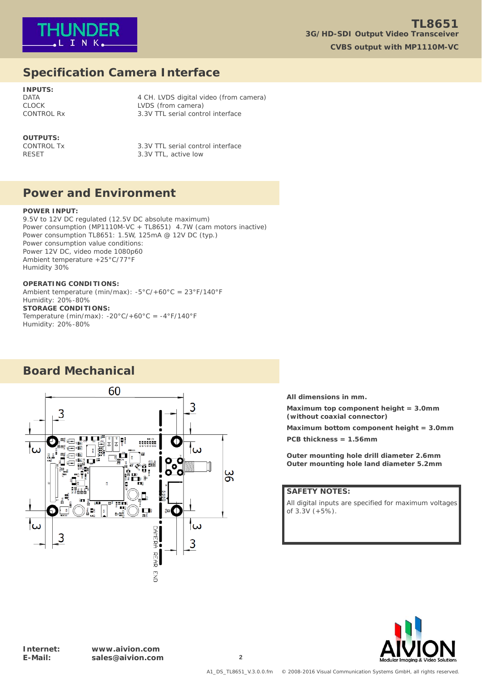

# **Specification Camera Interface**

**INPUTS:**

DATA 2001 12 CH. LVDS digital video (from camera) CLOCK LVDS (from camera) CONTROL Rx 3.3V TTL serial control interface

# **OUTPUTS:**<br>CONTROL Tx

3.3V TTL serial control interface RESET 3.3V TTL, active low

### **Power and Environment**

#### **POWER INPUT:**

9.5V to 12V DC regulated (12.5V DC absolute maximum) Power consumption (MP1110M-VC + TL8651) 4.7W (cam motors inactive) Power consumption TL8651: 1.5W, 125mA @ 12V DC (typ.) Power consumption value conditions: Power 12V DC, video mode 1080p60 Ambient temperature +25°C/77°F Humidity 30%

#### **OPERATING CONDITIONS:**

Ambient temperature (min/max): -5°C/+60°C = 23°F/140°F Humidity: 20%-80% **STORAGE CONDITIONS:** Temperature (min/max):  $-20^{\circ}$ C/+60 $^{\circ}$ C =  $-4^{\circ}$ F/140 $^{\circ}$ F Humidity: 20%-80%

# **Board Mechanical**



**All dimensions in mm.**

**Maximum top component height = 3.0mm (without coaxial connector)**

**Maximum bottom component height = 3.0mm PCB thickness = 1.56mm**

**Outer mounting hole drill diameter 2.6mm Outer mounting hole land diameter 5.2mm**

### **SAFETY NOTES:**

All digital inputs are specified for maximum voltages of 3.3V (+5%).

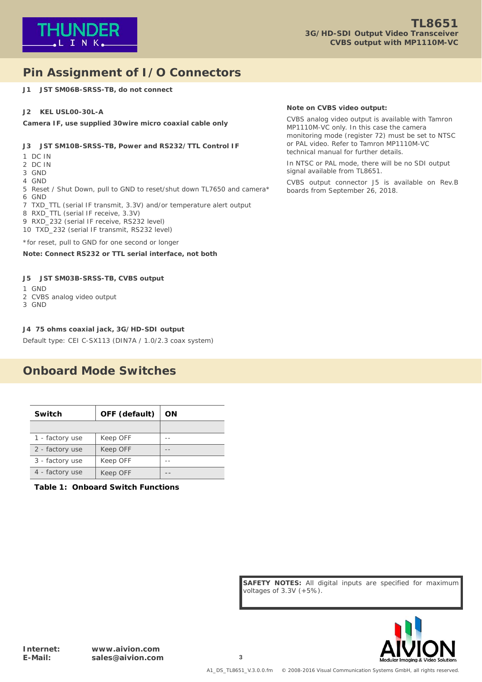

# **Pin Assignment of I/O Connectors**

**J1 JST SM06B-SRSS-TB, do not connect**

#### **J2 KEL USL00-30L-A**

**Camera IF, use supplied 30wire micro coaxial cable only**

#### **J3 JST SM10B-SRSS-TB, Power and RS232/TTL Control IF**

- 1 DC IN
- 2 DC IN
- 3 GND
- 4 GND

5 Reset / Shut Down, pull to GND to reset/shut down TL7650 and camera\* 6 GND

- 7 TXD\_TTL (serial IF transmit, 3.3V) and/or temperature alert output
- 8 RXD\_TTL (serial IF receive, 3.3V)
- 9 RXD\_232 (serial IF receive, RS232 level)
- 10 TXD\_232 (serial IF transmit, RS232 level)

\*for reset, pull to GND for one second or longer

#### **Note: Connect RS232 or TTL serial interface, not both**

#### **J5 JST SM03B-SRSS-TB, CVBS output**

- 1 GND
- 2 CVBS analog video output
- 3 GND

#### **J4 75 ohms coaxial jack, 3G/HD-SDI output**

Default type: CEI C-SX113 (DIN7A / 1.0/2.3 coax system)

### **Onboard Mode Switches**

| Switch          | OFF (default) | ΟN |
|-----------------|---------------|----|
|                 |               |    |
| 1 - factory use | Keep OFF      |    |
| 2 - factory use | Keep OFF      |    |
| 3 - factory use | Keep OFF      |    |
| 4 - factory use | Keep OFF      |    |

**Table 1: Onboard Switch Functions**

#### **Note on CVBS video output:**

CVBS analog video output is available with Tamron MP1110M-VC only. In this case the camera monitoring mode (register 72) must be set to NTSC or PAL video. Refer to Tamron MP1110M-VC technical manual for further details.

In NTSC or PAL mode, there will be no SDI output signal available from TL8651.

CVBS output connector J5 is available on Rev.B boards from September 26, 2018.

**SAFETY NOTES:** All digital inputs are specified for maximum voltages of 3.3V (+5%).

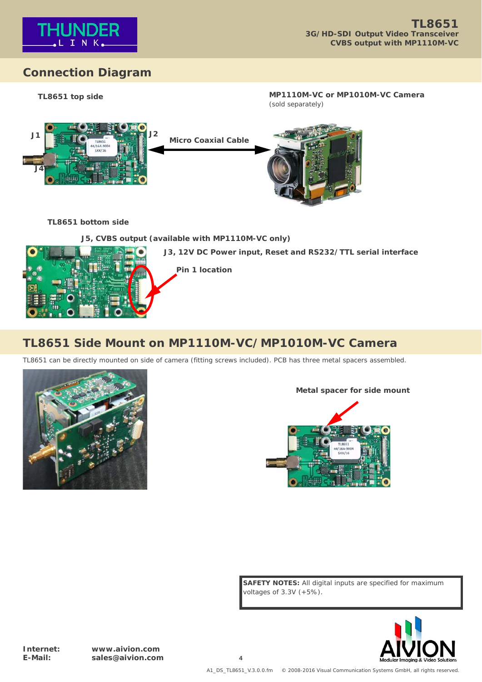

# **Connection Diagram**



### **TL8651 bottom side**

### **J5, CVBS output (available with MP1110M-VC only)**



# **TL8651 Side Mount on MP1110M-VC/MP1010M-VC Camera**

TL8651 can be directly mounted on side of camera (fitting screws included). PCB has three metal spacers assembled.



### **Metal spacer for side mount**



**SAFETY NOTES:** All digital inputs are specified for maximum voltages of 3.3V (+5%).



**Internet: www.aivion.com E-Mail: sales@aivion.com 4**